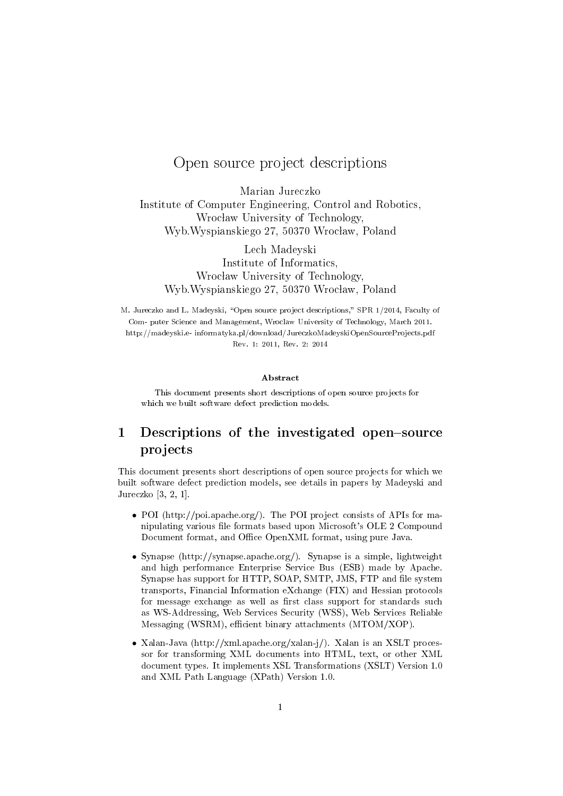## Open source project descriptions

Marian Jureczko Institute of Computer Engineering, Control and Robotics, Wrocław University of Technology, Wyb.Wyspianskiego 27, 50370 Wrocław, Poland

Lech Madeyski Institute of Informatics, Wrocław University of Technology, Wyb.Wyspianskiego 27, 50370 Wrocław, Poland

M. Jureczko and L. Madeyski, "Open source project descriptions," SPR 1/2014, Faculty of Com- puter Science and Management, Wroclaw University of Technology, March 2011. http://madeyski.e- informatyka.pl/download/JureczkoMadeyskiOpenSourceProjects.pdf Rev. 1: 2011, Rev. 2: 2014

## Abstract

This document presents short descriptions of open source projects for which we built software defect prediction models.

## 1 Descriptions of the investigated open-source projects

This document presents short descriptions of open source projects for which we built software defect prediction models, see details in papers by Madeyski and Jureczko [3, 2, 1].

- POI (http://poi.apache.org/). The POI project consists of APIs for manipulating various file formats based upon Microsoft's OLE 2 Compound Document format, and Office OpenXML format, using pure Java.
- Synapse (http://synapse.apache.org/). Synapse is a simple, lightweight and high performance Enterprise Service Bus (ESB) made by Apache. Synapse has support for HTTP, SOAP, SMTP, JMS, FTP and file system transports, Financial Information eXchange (FIX) and Hessian protocols for message exchange as well as first class support for standards such as WS-Addressing, Web Services Security (WSS), Web Services Reliable Messaging (WSRM), efficient binary attachments (MTOM/XOP).
- Xalan-Java (http://xml.apache.org/xalan-j/). Xalan is an XSLT processor for transforming XML documents into HTML, text, or other XML document types. It implements XSL Transformations (XSLT) Version 1.0 and XML Path Language (XPath) Version 1.0.